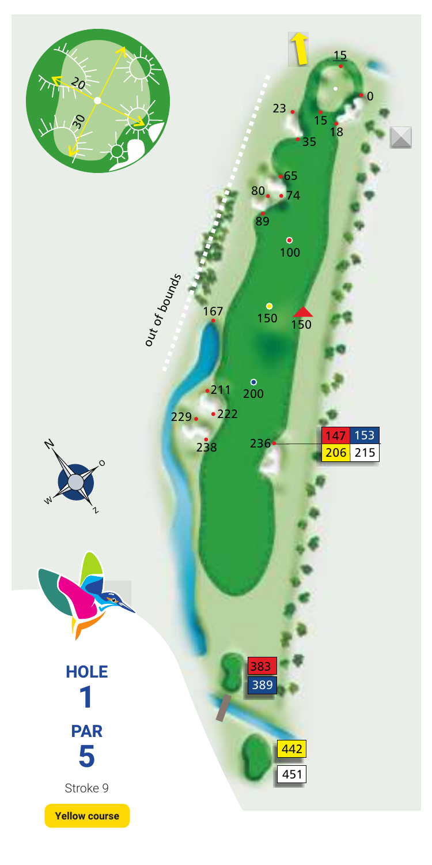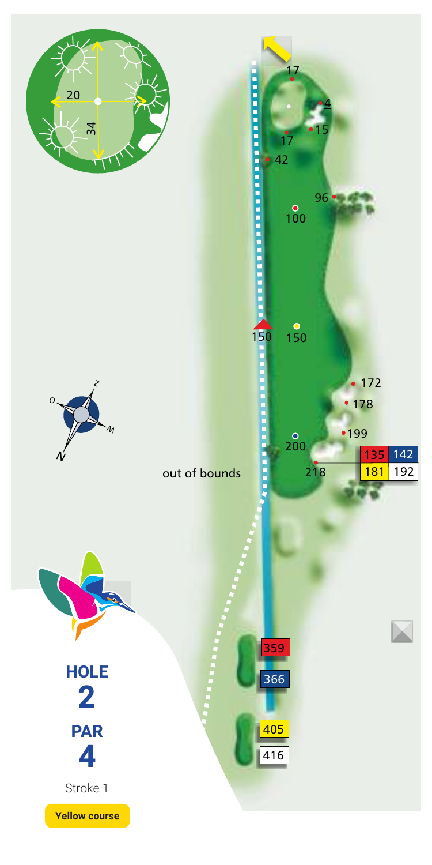





416 405

366 359

150

 $\frac{6}{150}$ 

 $\frac{8}{200}$ 

17

 $\overline{100}$ 

42

**PERSONAL PROPERTY** 

15

96 - 4

17

142

 $\overline{\boxtimes}$ 

218 181 192 •199  $• 178$  $• 172$ 



**PAR 4** Stroke 1 **HOLE 2**

**Yellow course**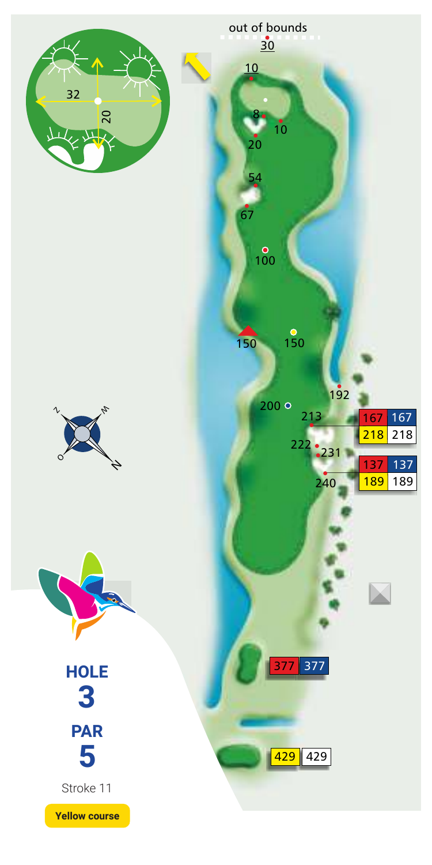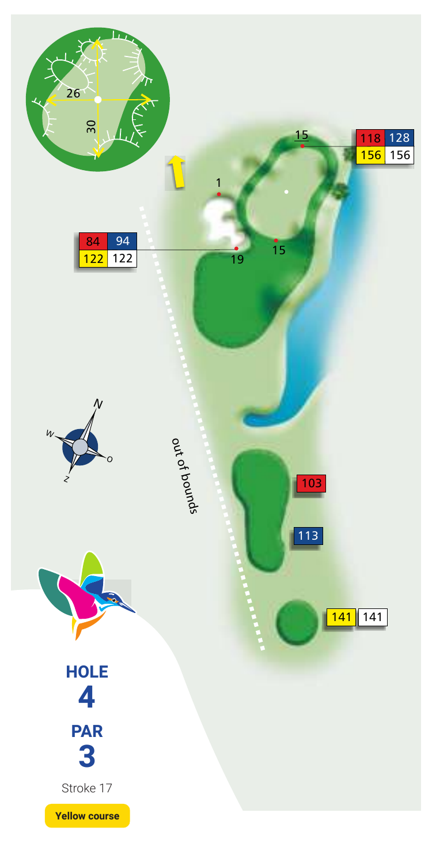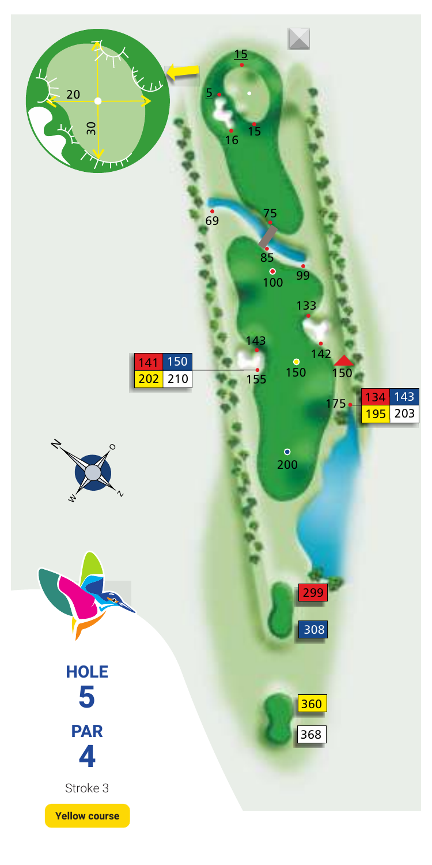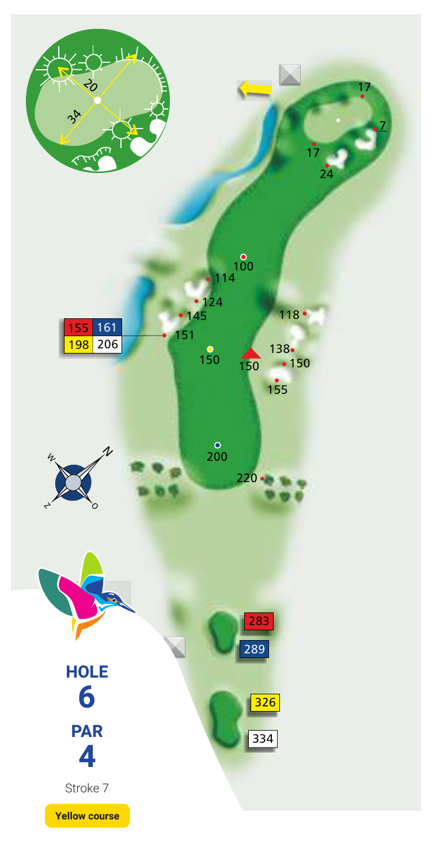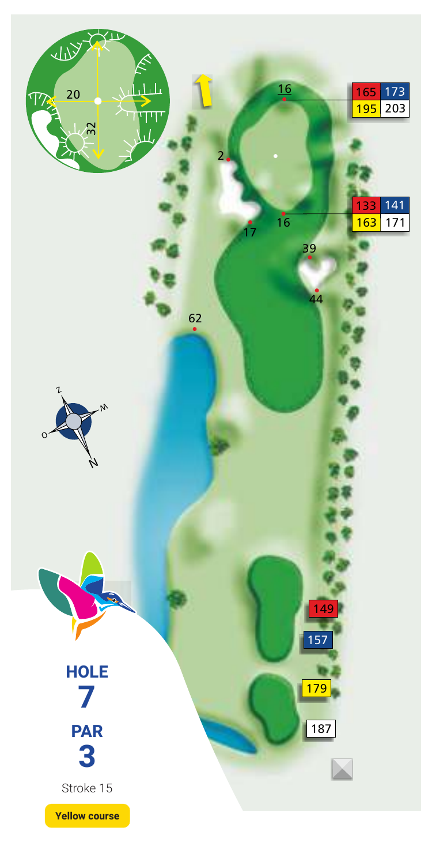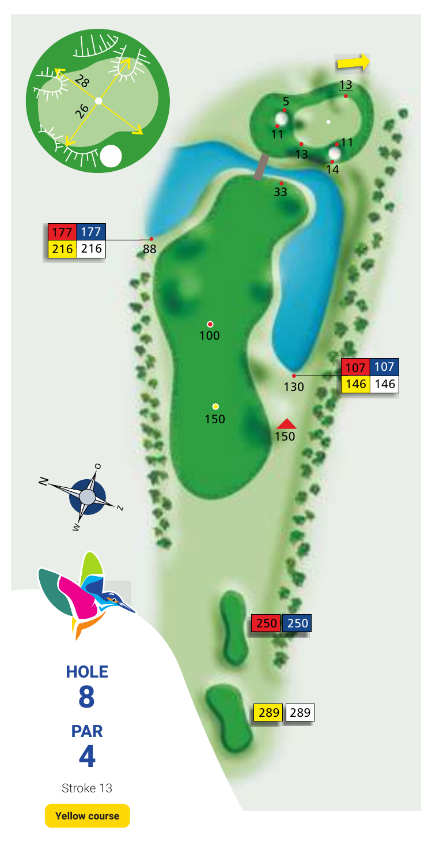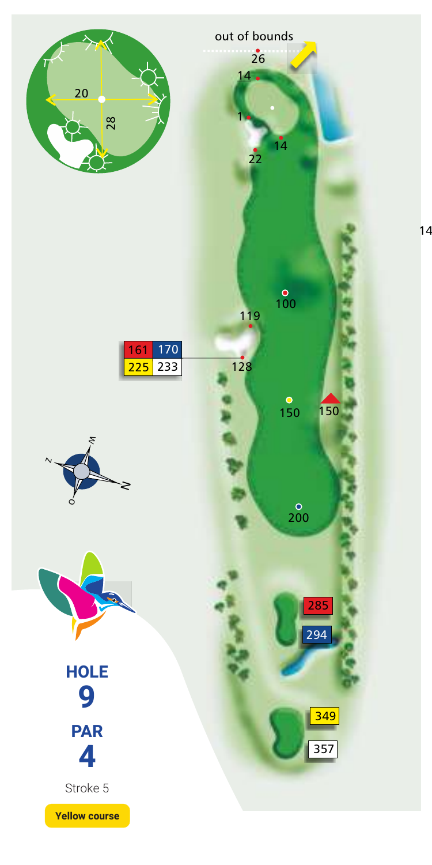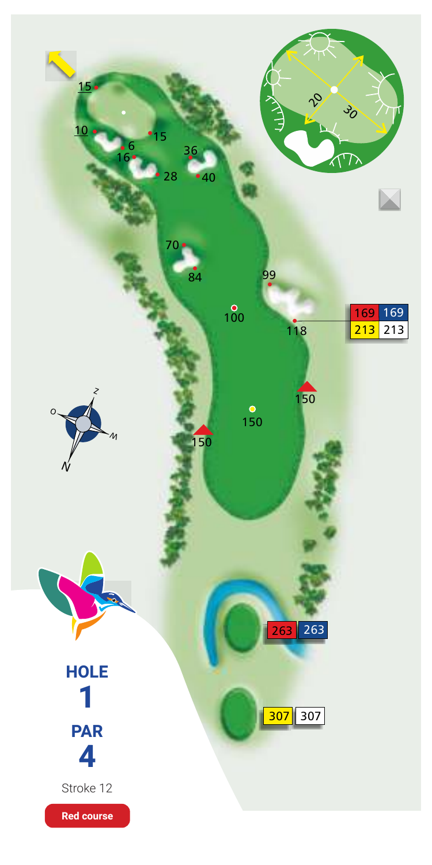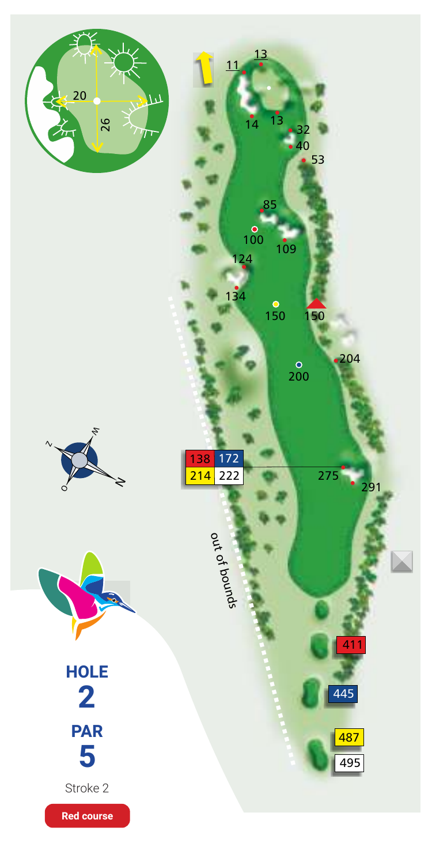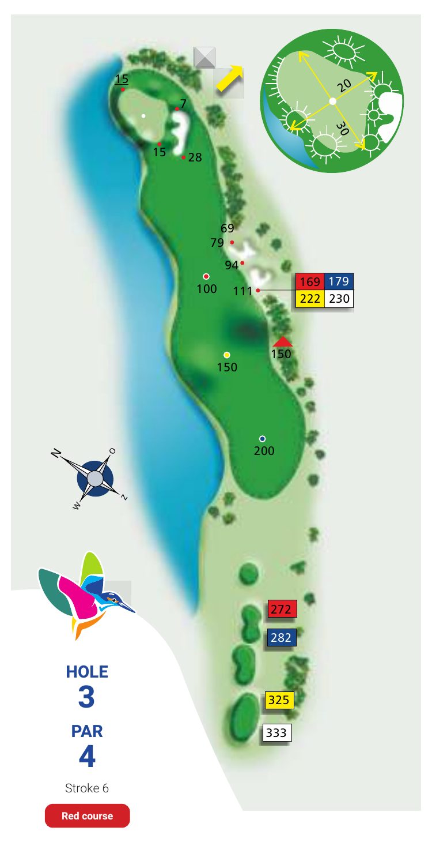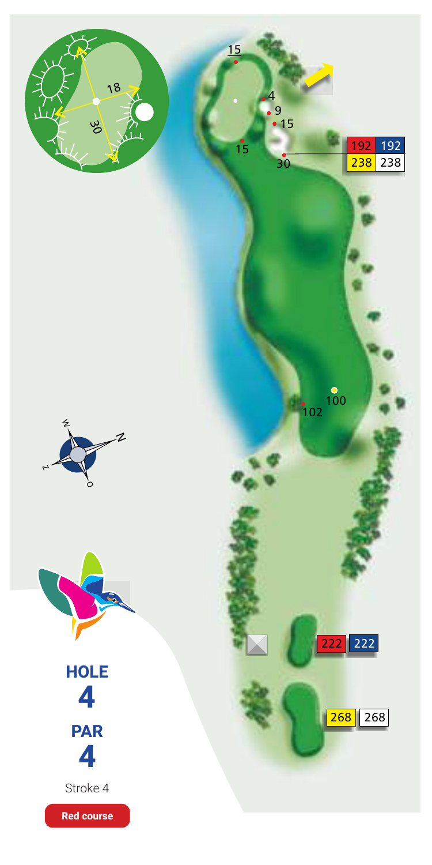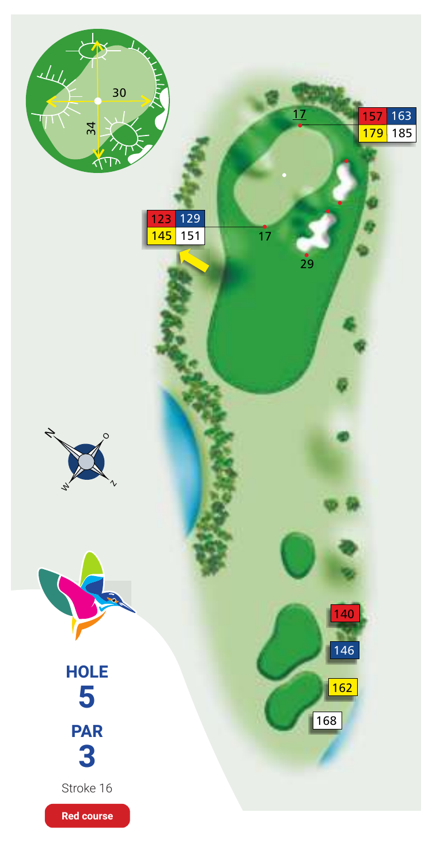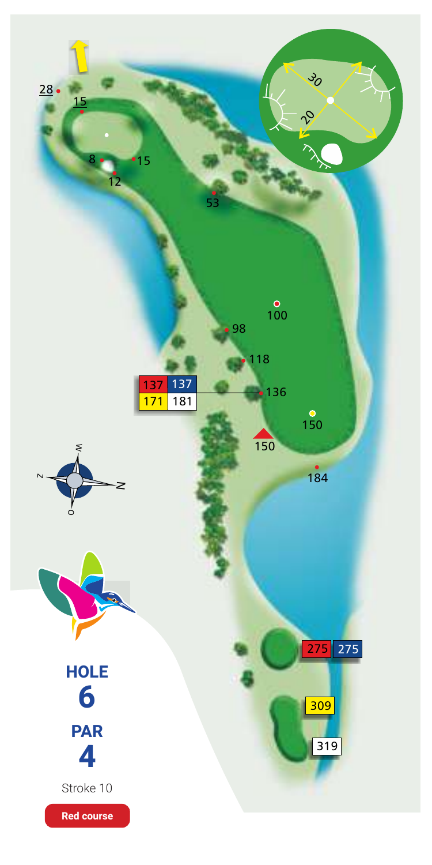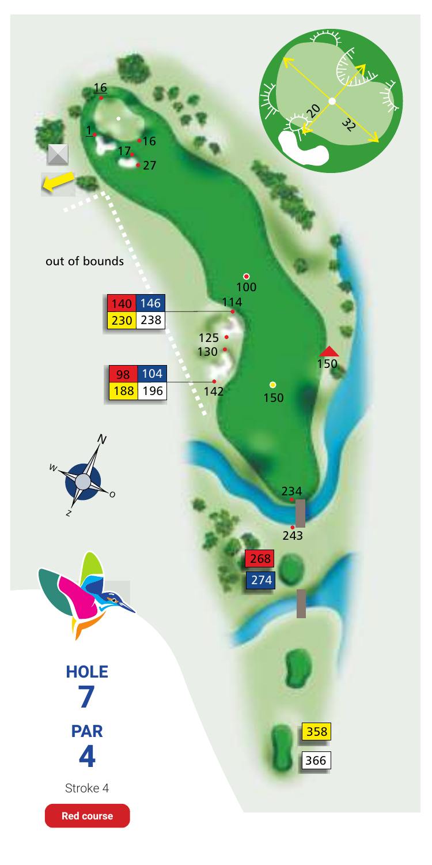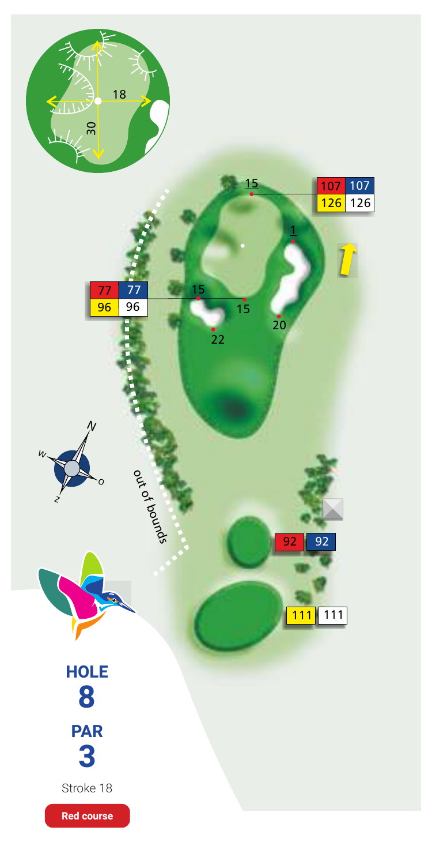